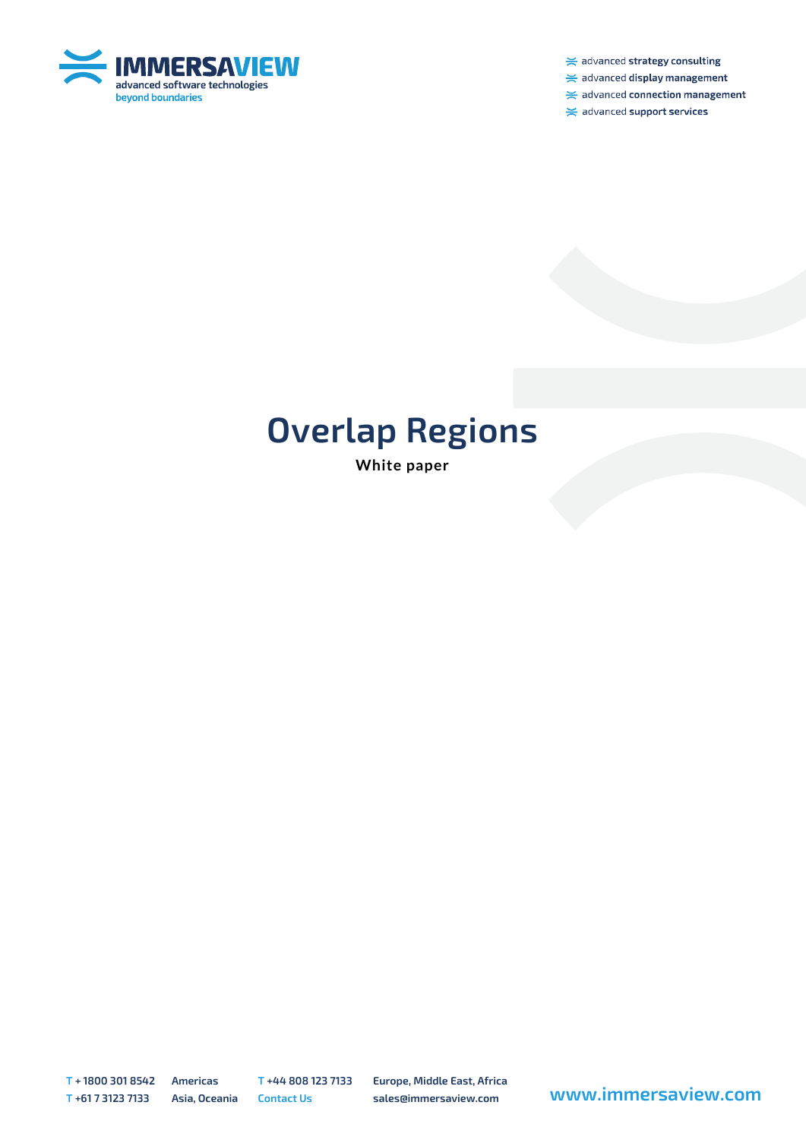

 $\ge$  advanced strategy consulting

 $\ge$  advanced display management

 $\ge$  advanced connection management

 $\ge$  advanced support services

## **Overlap Regions**

**White paper**

**T + 1800 301 8542 Americas T +44 808 123 7133 Europe, Middle East, Africa**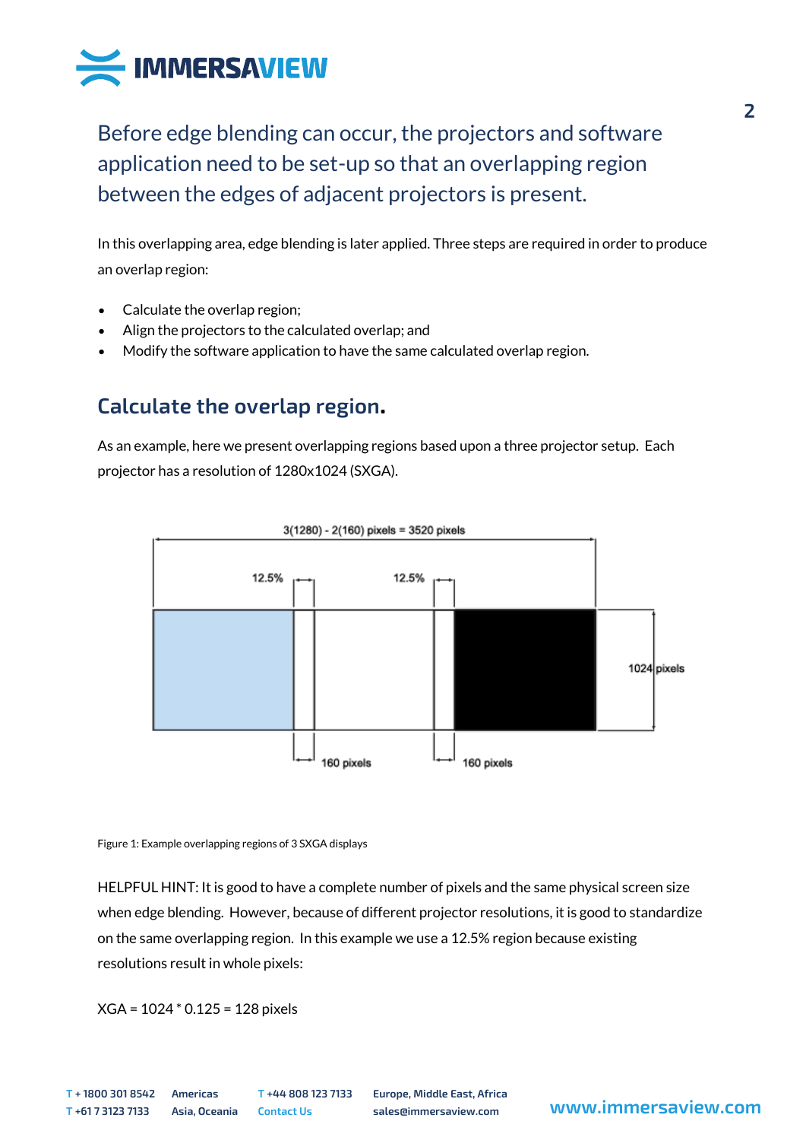

Before edge blending can occur, the projectors and software application need to be set-up so that an overlapping region between the edges of adjacent projectors is present.

In this overlapping area, edge blending is later applied. Three steps are required in order to produce an overlap region:

- Calculate the overlap region;
- Align the projectors to the calculated overlap; and
- Modify the software application to have the same calculated overlap region.

## **Calculate the overlap region.**

As an example, here we present overlapping regions based upon a three projector setup. Each projector has a resolution of 1280x1024 (SXGA).



Figure 1: Example overlapping regions of 3 SXGA displays

HELPFUL HINT: It is good to have a complete number of pixels and the same physical screen size when edge blending. However, because of different projector resolutions, it is good to standardize on the same overlapping region. In this example we use a 12.5% region because existing resolutions result in whole pixels:

XGA = 1024 \* 0.125 = 128 pixels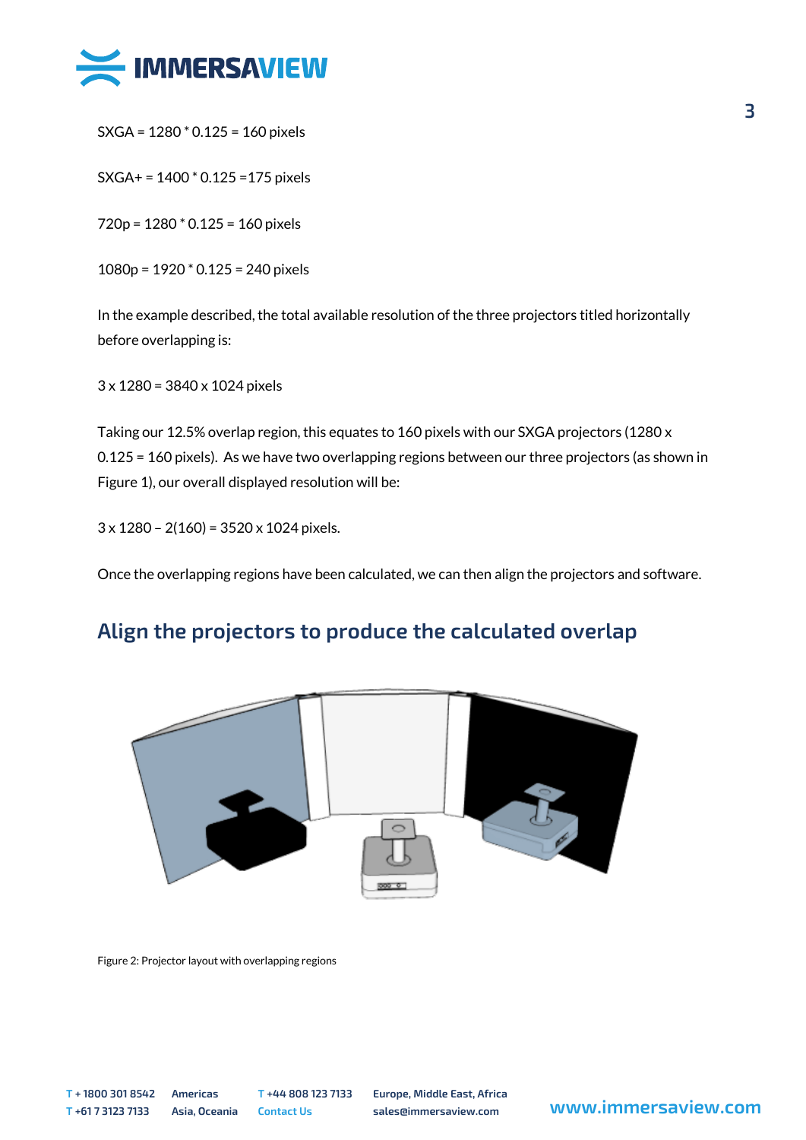

SXGA = 1280 \* 0.125 = 160 pixels

SXGA+ = 1400 \* 0.125 =175 pixels

720p = 1280 \* 0.125 = 160 pixels

1080p = 1920 \* 0.125 = 240 pixels

In the example described, the total available resolution of the three projectors titled horizontally before overlapping is:

3 x 1280 = 3840 x 1024 pixels

Taking our 12.5% overlap region, this equates to 160 pixels with our SXGA projectors (1280 x 0.125 = 160 pixels). As we have two overlapping regions between our three projectors (as shown in Figure 1), our overall displayed resolution will be:

3 x 1280 – 2(160) = 3520 x 1024 pixels.

Once the overlapping regions have been calculated, we can then align the projectors and software.

## **Align the projectors to produce the calculated overlap**



Figure 2: Projector layout with overlapping regions

**T + 1800 301 8542 Americas T +44 808 123 7133 Europe, Middle East, Africa <sup>T</sup> +61 7 3123 7133 Asia, Oceania Contact Us sales@immersaview.com www.immersaview.com**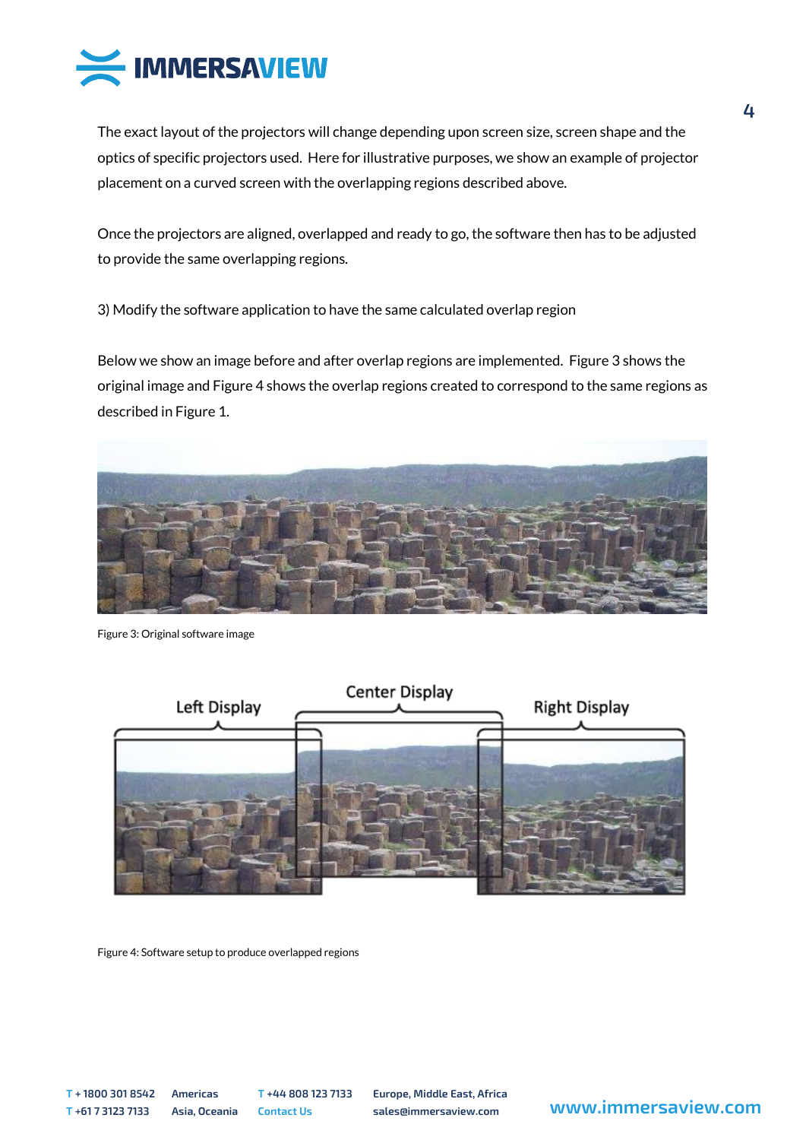

The exact layout of the projectors will change depending upon screen size, screen shape and the optics of specific projectors used. Here for illustrative purposes, we show an example of projector placement on a curved screen with the overlapping regions described above.

Once the projectors are aligned, overlapped and ready to go, the software then has to be adjusted to provide the same overlapping regions.

3) Modify the software application to have the same calculated overlap region

Below we show an image before and after overlap regions are implemented. Figure 3 shows the original image and Figure 4 shows the overlap regions created to correspond to the same regions as described in Figure 1.



Figure 3: Original software image



Figure 4: Software setup to produce overlapped regions

**T + 1800 301 8542 Americas T +44 808 123 7133 Europe, Middle East, Africa**

**<sup>T</sup> +61 7 3123 7133 Asia, Oceania Contact Us sales@immersaview.com www.immersaview.com**